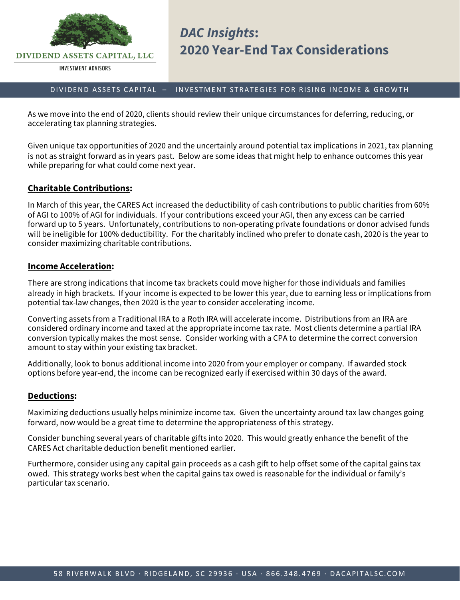

# DIVIDEND ASSETS CAPITAL – INVESTMENT STRATEGIES FOR RISING INCOME & GROWTH

As we move into the end of 2020, clients should review their unique circumstances for deferring, reducing, or accelerating tax planning strategies.

Given unique tax opportunities of 2020 and the uncertainly around potential tax implications in 2021, tax planning is not as straight forward as in years past. Below are some ideas that might help to enhance outcomes this year while preparing for what could come next year.

# **Charitable Contributions:**

In March of this year, the CARES Act increased the deductibility of cash contributions to public charities from 60% of AGI to 100% of AGI for individuals. If your contributions exceed your AGI, then any excess can be carried forward up to 5 years. Unfortunately, contributions to non-operating private foundations or donor advised funds will be ineligible for 100% deductibility. For the charitably inclined who prefer to donate cash, 2020 is the year to consider maximizing charitable contributions.

## **Income Acceleration:**

There are strong indications that income tax brackets could move higher for those individuals and families already in high brackets. If your income is expected to be lower this year, due to earning less or implications from potential tax-law changes, then 2020 is the year to consider accelerating income.

Converting assets from a Traditional IRA to a Roth IRA will accelerate income. Distributions from an IRA are considered ordinary income and taxed at the appropriate income tax rate. Most clients determine a partial IRA conversion typically makes the most sense. Consider working with a CPA to determine the correct conversion amount to stay within your existing tax bracket.

Additionally, look to bonus additional income into 2020 from your employer or company. If awarded stock options before year-end, the income can be recognized early if exercised within 30 days of the award.

## **Deductions:**

Maximizing deductions usually helps minimize income tax. Given the uncertainty around tax law changes going forward, now would be a great time to determine the appropriateness of this strategy.

Consider bunching several years of charitable gifts into 2020. This would greatly enhance the benefit of the CARES Act charitable deduction benefit mentioned earlier.

Furthermore, consider using any capital gain proceeds as a cash gift to help offset some of the capital gains tax owed. This strategy works best when the capital gains tax owed is reasonable for the individual or family's particular tax scenario.